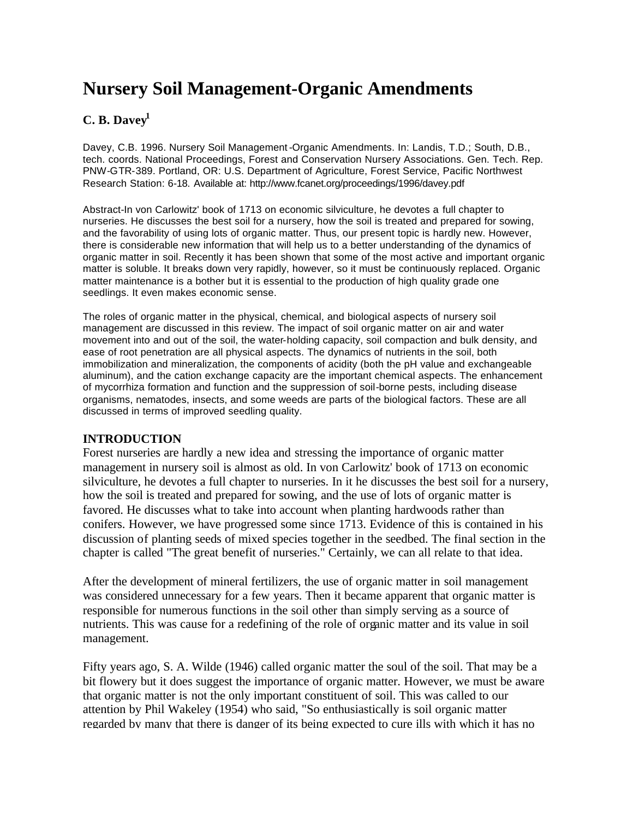# **Nursery Soil Management-Organic Amendments**

# **C. B. Davey<sup>1</sup>**

Davey, C.B. 1996. Nursery Soil Management-Organic Amendments. In: Landis, T.D.; South, D.B., tech. coords. National Proceedings, Forest and Conservation Nursery Associations. Gen. Tech. Rep. PNW-GTR-389. Portland, OR: U.S. Department of Agriculture, Forest Service, Pacific Northwest Research Station: 6-18. Available at: http://www.fcanet.org/proceedings/1996/davey.pdf

Abstract-In von Carlowitz' book of 1713 on economic silviculture, he devotes a full chapter to nurseries. He discusses the best soil for a nursery, how the soil is treated and prepared for sowing, and the favorability of using lots of organic matter. Thus, our present topic is hardly new. However, there is considerable new information that will help us to a better understanding of the dynamics of organic matter in soil. Recently it has been shown that some of the most active and important organic matter is soluble. It breaks down very rapidly, however, so it must be continuously replaced. Organic matter maintenance is a bother but it is essential to the production of high quality grade one seedlings. It even makes economic sense.

The roles of organic matter in the physical, chemical, and biological aspects of nursery soil management are discussed in this review. The impact of soil organic matter on air and water movement into and out of the soil, the water-holding capacity, soil compaction and bulk density, and ease of root penetration are all physical aspects. The dynamics of nutrients in the soil, both immobilization and mineralization, the components of acidity (both the pH value and exchangeable aluminum), and the cation exchange capacity are the important chemical aspects. The enhancement of mycorrhiza formation and function and the suppression of soil-borne pests, including disease organisms, nematodes, insects, and some weeds are parts of the biological factors. These are all discussed in terms of improved seedling quality.

## **INTRODUCTION**

Forest nurseries are hardly a new idea and stressing the importance of organic matter management in nursery soil is almost as old. In von Carlowitz' book of 1713 on economic silviculture, he devotes a full chapter to nurseries. In it he discusses the best soil for a nursery, how the soil is treated and prepared for sowing, and the use of lots of organic matter is favored. He discusses what to take into account when planting hardwoods rather than conifers. However, we have progressed some since 1713. Evidence of this is contained in his discussion of planting seeds of mixed species together in the seedbed. The final section in the chapter is called "The great benefit of nurseries." Certainly, we can all relate to that idea.

After the development of mineral fertilizers, the use of organic matter in soil management was considered unnecessary for a few years. Then it became apparent that organic matter is responsible for numerous functions in the soil other than simply serving as a source of nutrients. This was cause for a redefining of the role of organic matter and its value in soil management.

Fifty years ago, S. A. Wilde (1946) called organic matter the soul of the soil. That may be a bit flowery but it does suggest the importance of organic matter. However, we must be aware that organic matter is not the only important constituent of soil. This was called to our attention by Phil Wakeley (1954) who said, "So enthusiastically is soil organic matter regarded by many that there is danger of its being expected to cure ills with which it has no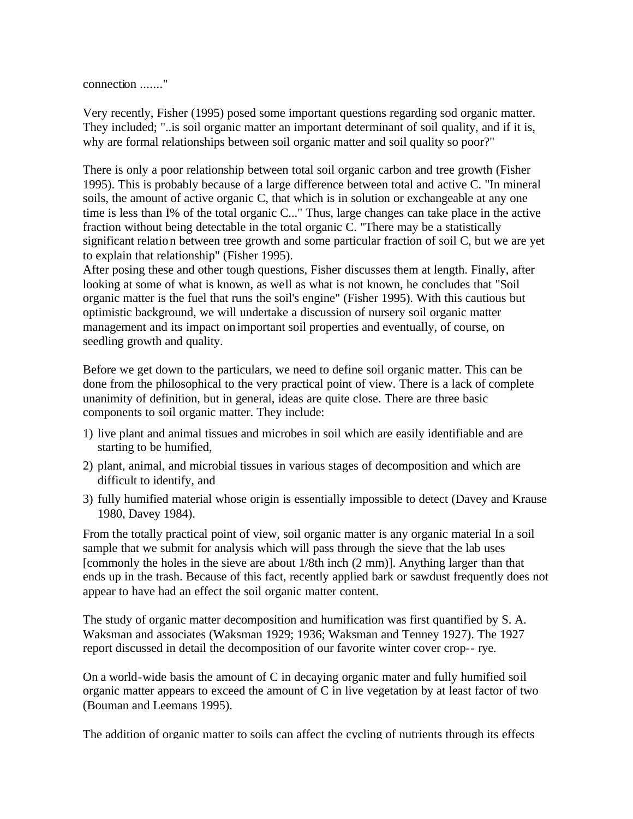connection ......."

Very recently, Fisher (1995) posed some important questions regarding sod organic matter. They included; "..is soil organic matter an important determinant of soil quality, and if it is, why are formal relationships between soil organic matter and soil quality so poor?"

There is only a poor relationship between total soil organic carbon and tree growth (Fisher 1995). This is probably because of a large difference between total and active C. "In mineral soils, the amount of active organic C, that which is in solution or exchangeable at any one time is less than I% of the total organic C..." Thus, large changes can take place in the active fraction without being detectable in the total organic C. "There may be a statistically significant relation between tree growth and some particular fraction of soil C, but we are yet to explain that relationship" (Fisher 1995).

After posing these and other tough questions, Fisher discusses them at length. Finally, after looking at some of what is known, as well as what is not known, he concludes that "Soil organic matter is the fuel that runs the soil's engine" (Fisher 1995). With this cautious but optimistic background, we will undertake a discussion of nursery soil organic matter management and its impact on important soil properties and eventually, of course, on seedling growth and quality.

Before we get down to the particulars, we need to define soil organic matter. This can be done from the philosophical to the very practical point of view. There is a lack of complete unanimity of definition, but in general, ideas are quite close. There are three basic components to soil organic matter. They include:

- 1) live plant and animal tissues and microbes in soil which are easily identifiable and are starting to be humified,
- 2) plant, animal, and microbial tissues in various stages of decomposition and which are difficult to identify, and
- 3) fully humified material whose origin is essentially impossible to detect (Davey and Krause 1980, Davey 1984).

From the totally practical point of view, soil organic matter is any organic material In a soil sample that we submit for analysis which will pass through the sieve that the lab uses [commonly the holes in the sieve are about 1/8th inch (2 mm)]. Anything larger than that ends up in the trash. Because of this fact, recently applied bark or sawdust frequently does not appear to have had an effect the soil organic matter content.

The study of organic matter decomposition and humification was first quantified by S. A. Waksman and associates (Waksman 1929; 1936; Waksman and Tenney 1927). The 1927 report discussed in detail the decomposition of our favorite winter cover crop-- rye.

On a world-wide basis the amount of C in decaying organic mater and fully humified soil organic matter appears to exceed the amount of C in live vegetation by at least factor of two (Bouman and Leemans 1995).

The addition of organic matter to soils can affect the cycling of nutrients through its effects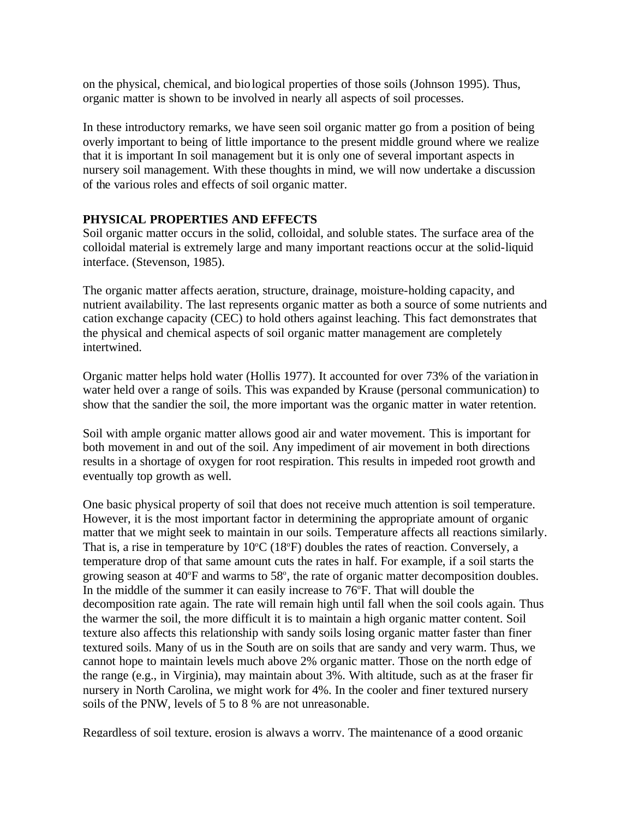on the physical, chemical, and biological properties of those soils (Johnson 1995). Thus, organic matter is shown to be involved in nearly all aspects of soil processes.

In these introductory remarks, we have seen soil organic matter go from a position of being overly important to being of little importance to the present middle ground where we realize that it is important In soil management but it is only one of several important aspects in nursery soil management. With these thoughts in mind, we will now undertake a discussion of the various roles and effects of soil organic matter.

#### **PHYSICAL PROPERTIES AND EFFECTS**

Soil organic matter occurs in the solid, colloidal, and soluble states. The surface area of the colloidal material is extremely large and many important reactions occur at the solid-liquid interface. (Stevenson, 1985).

The organic matter affects aeration, structure, drainage, moisture-holding capacity, and nutrient availability. The last represents organic matter as both a source of some nutrients and cation exchange capacity (CEC) to hold others against leaching. This fact demonstrates that the physical and chemical aspects of soil organic matter management are completely intertwined.

Organic matter helps hold water (Hollis 1977). It accounted for over 73% of the variation in water held over a range of soils. This was expanded by Krause (personal communication) to show that the sandier the soil, the more important was the organic matter in water retention.

Soil with ample organic matter allows good air and water movement. This is important for both movement in and out of the soil. Any impediment of air movement in both directions results in a shortage of oxygen for root respiration. This results in impeded root growth and eventually top growth as well.

One basic physical property of soil that does not receive much attention is soil temperature. However, it is the most important factor in determining the appropriate amount of organic matter that we might seek to maintain in our soils. Temperature affects all reactions similarly. That is, a rise in temperature by  $10^{\circ}C$  (18 $^{\circ}F$ ) doubles the rates of reaction. Conversely, a temperature drop of that same amount cuts the rates in half. For example, if a soil starts the growing season at  $40^{\circ}$ F and warms to 58 $^{\circ}$ , the rate of organic matter decomposition doubles. In the middle of the summer it can easily increase to  $76^\circ$ F. That will double the decomposition rate again. The rate will remain high until fall when the soil cools again. Thus the warmer the soil, the more difficult it is to maintain a high organic matter content. Soil texture also affects this relationship with sandy soils losing organic matter faster than finer textured soils. Many of us in the South are on soils that are sandy and very warm. Thus, we cannot hope to maintain levels much above 2% organic matter. Those on the north edge of the range (e.g., in Virginia), may maintain about 3%. With altitude, such as at the fraser fir nursery in North Carolina, we might work for 4%. In the cooler and finer textured nursery soils of the PNW, levels of 5 to 8 % are not unreasonable.

Regardless of soil texture, erosion is always a worry. The maintenance of a good organic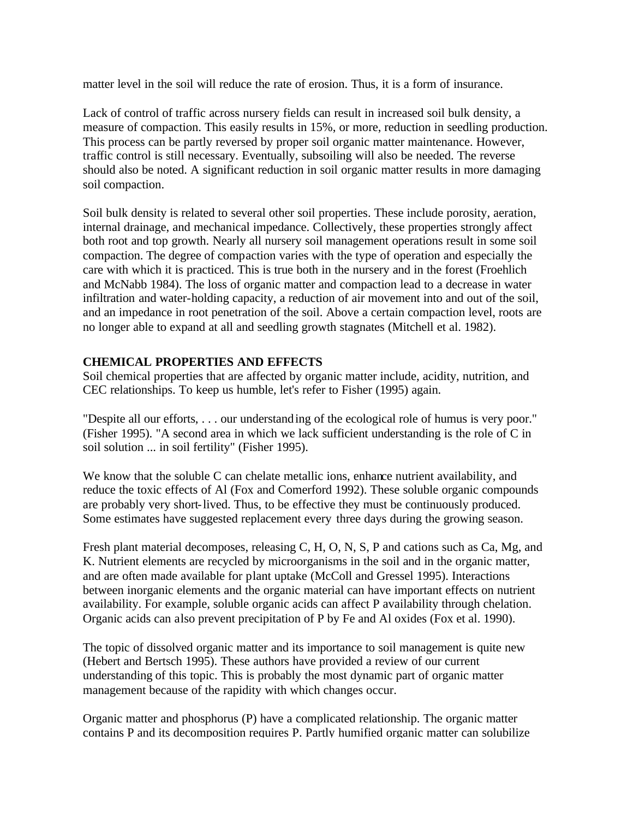matter level in the soil will reduce the rate of erosion. Thus, it is a form of insurance.

Lack of control of traffic across nursery fields can result in increased soil bulk density, a measure of compaction. This easily results in 15%, or more, reduction in seedling production. This process can be partly reversed by proper soil organic matter maintenance. However, traffic control is still necessary. Eventually, subsoiling will also be needed. The reverse should also be noted. A significant reduction in soil organic matter results in more damaging soil compaction.

Soil bulk density is related to several other soil properties. These include porosity, aeration, internal drainage, and mechanical impedance. Collectively, these properties strongly affect both root and top growth. Nearly all nursery soil management operations result in some soil compaction. The degree of compaction varies with the type of operation and especially the care with which it is practiced. This is true both in the nursery and in the forest (Froehlich and McNabb 1984). The loss of organic matter and compaction lead to a decrease in water infiltration and water-holding capacity, a reduction of air movement into and out of the soil, and an impedance in root penetration of the soil. Above a certain compaction level, roots are no longer able to expand at all and seedling growth stagnates (Mitchell et al. 1982).

## **CHEMICAL PROPERTIES AND EFFECTS**

Soil chemical properties that are affected by organic matter include, acidity, nutrition, and CEC relationships. To keep us humble, let's refer to Fisher (1995) again.

"Despite all our efforts, . . . our understanding of the ecological role of humus is very poor." (Fisher 1995). "A second area in which we lack sufficient understanding is the role of C in soil solution ... in soil fertility" (Fisher 1995).

We know that the soluble C can chelate metallic ions, enhance nutrient availability, and reduce the toxic effects of Al (Fox and Comerford 1992). These soluble organic compounds are probably very short-lived. Thus, to be effective they must be continuously produced. Some estimates have suggested replacement every three days during the growing season.

Fresh plant material decomposes, releasing C, H, O, N, S, P and cations such as Ca, Mg, and K. Nutrient elements are recycled by microorganisms in the soil and in the organic matter, and are often made available for plant uptake (McColl and Gressel 1995). Interactions between inorganic elements and the organic material can have important effects on nutrient availability. For example, soluble organic acids can affect P availability through chelation. Organic acids can also prevent precipitation of P by Fe and Al oxides (Fox et al. 1990).

The topic of dissolved organic matter and its importance to soil management is quite new (Hebert and Bertsch 1995). These authors have provided a review of our current understanding of this topic. This is probably the most dynamic part of organic matter management because of the rapidity with which changes occur.

Organic matter and phosphorus (P) have a complicated relationship. The organic matter contains P and its decomposition requires P. Partly humified organic matter can solubilize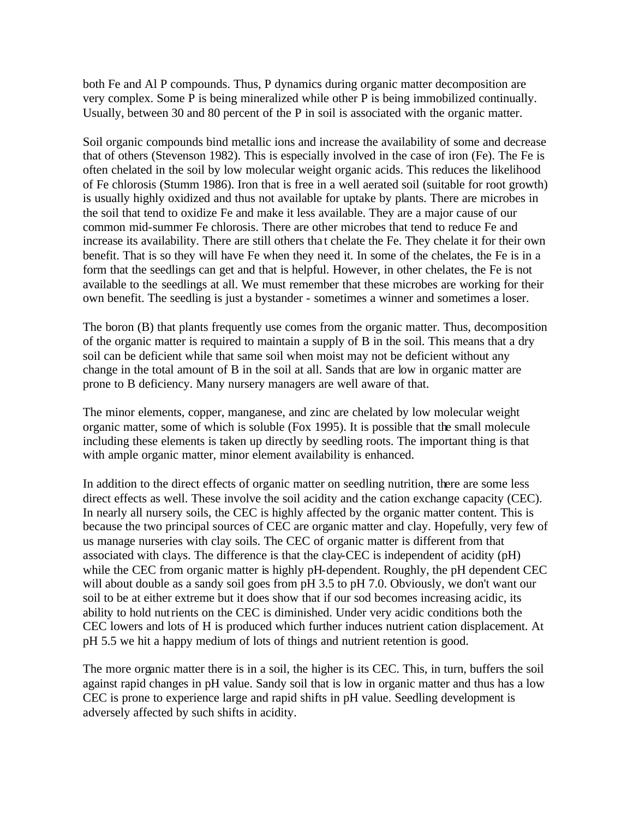both Fe and Al P compounds. Thus, P dynamics during organic matter decomposition are very complex. Some P is being mineralized while other P is being immobilized continually. Usually, between 30 and 80 percent of the P in soil is associated with the organic matter.

Soil organic compounds bind metallic ions and increase the availability of some and decrease that of others (Stevenson 1982). This is especially involved in the case of iron (Fe). The Fe is often chelated in the soil by low molecular weight organic acids. This reduces the likelihood of Fe chlorosis (Stumm 1986). Iron that is free in a well aerated soil (suitable for root growth) is usually highly oxidized and thus not available for uptake by plants. There are microbes in the soil that tend to oxidize Fe and make it less available. They are a major cause of our common mid-summer Fe chlorosis. There are other microbes that tend to reduce Fe and increase its availability. There are still others tha t chelate the Fe. They chelate it for their own benefit. That is so they will have Fe when they need it. In some of the chelates, the Fe is in a form that the seedlings can get and that is helpful. However, in other chelates, the Fe is not available to the seedlings at all. We must remember that these microbes are working for their own benefit. The seedling is just a bystander - sometimes a winner and sometimes a loser.

The boron (B) that plants frequently use comes from the organic matter. Thus, decomposition of the organic matter is required to maintain a supply of B in the soil. This means that a dry soil can be deficient while that same soil when moist may not be deficient without any change in the total amount of B in the soil at all. Sands that are low in organic matter are prone to B deficiency. Many nursery managers are well aware of that.

The minor elements, copper, manganese, and zinc are chelated by low molecular weight organic matter, some of which is soluble (Fox 1995). It is possible that the small molecule including these elements is taken up directly by seedling roots. The important thing is that with ample organic matter, minor element availability is enhanced.

In addition to the direct effects of organic matter on seedling nutrition, there are some less direct effects as well. These involve the soil acidity and the cation exchange capacity (CEC). In nearly all nursery soils, the CEC is highly affected by the organic matter content. This is because the two principal sources of CEC are organic matter and clay. Hopefully, very few of us manage nurseries with clay soils. The CEC of organic matter is different from that associated with clays. The difference is that the clay-CEC is independent of acidity (pH) while the CEC from organic matter is highly pH-dependent. Roughly, the pH dependent CEC will about double as a sandy soil goes from pH 3.5 to pH 7.0. Obviously, we don't want our soil to be at either extreme but it does show that if our sod becomes increasing acidic, its ability to hold nutrients on the CEC is diminished. Under very acidic conditions both the CEC lowers and lots of H is produced which further induces nutrient cation displacement. At pH 5.5 we hit a happy medium of lots of things and nutrient retention is good.

The more organic matter there is in a soil, the higher is its CEC. This, in turn, buffers the soil against rapid changes in pH value. Sandy soil that is low in organic matter and thus has a low CEC is prone to experience large and rapid shifts in pH value. Seedling development is adversely affected by such shifts in acidity.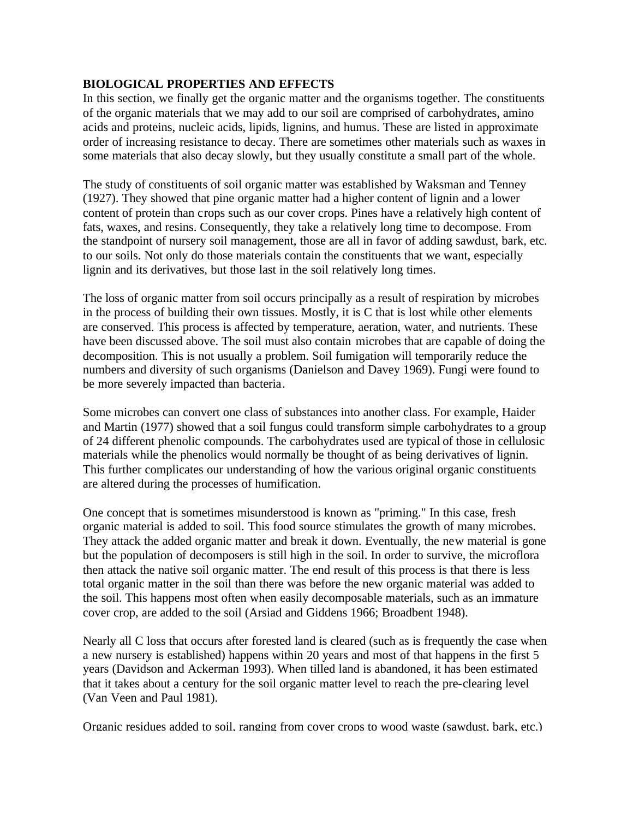# **BIOLOGICAL PROPERTIES AND EFFECTS**

In this section, we finally get the organic matter and the organisms together. The constituents of the organic materials that we may add to our soil are comprised of carbohydrates, amino acids and proteins, nucleic acids, lipids, lignins, and humus. These are listed in approximate order of increasing resistance to decay. There are sometimes other materials such as waxes in some materials that also decay slowly, but they usually constitute a small part of the whole.

The study of constituents of soil organic matter was established by Waksman and Tenney (1927). They showed that pine organic matter had a higher content of lignin and a lower content of protein than crops such as our cover crops. Pines have a relatively high content of fats, waxes, and resins. Consequently, they take a relatively long time to decompose. From the standpoint of nursery soil management, those are all in favor of adding sawdust, bark, etc. to our soils. Not only do those materials contain the constituents that we want, especially lignin and its derivatives, but those last in the soil relatively long times.

The loss of organic matter from soil occurs principally as a result of respiration by microbes in the process of building their own tissues. Mostly, it is C that is lost while other elements are conserved. This process is affected by temperature, aeration, water, and nutrients. These have been discussed above. The soil must also contain microbes that are capable of doing the decomposition. This is not usually a problem. Soil fumigation will temporarily reduce the numbers and diversity of such organisms (Danielson and Davey 1969). Fungi were found to be more severely impacted than bacteria.

Some microbes can convert one class of substances into another class. For example, Haider and Martin (1977) showed that a soil fungus could transform simple carbohydrates to a group of 24 different phenolic compounds. The carbohydrates used are typical of those in cellulosic materials while the phenolics would normally be thought of as being derivatives of lignin. This further complicates our understanding of how the various original organic constituents are altered during the processes of humification.

One concept that is sometimes misunderstood is known as "priming." In this case, fresh organic material is added to soil. This food source stimulates the growth of many microbes. They attack the added organic matter and break it down. Eventually, the new material is gone but the population of decomposers is still high in the soil. In order to survive, the microflora then attack the native soil organic matter. The end result of this process is that there is less total organic matter in the soil than there was before the new organic material was added to the soil. This happens most often when easily decomposable materials, such as an immature cover crop, are added to the soil (Arsiad and Giddens 1966; Broadbent 1948).

Nearly all C loss that occurs after forested land is cleared (such as is frequently the case when a new nursery is established) happens within 20 years and most of that happens in the first 5 years (Davidson and Ackerman 1993). When tilled land is abandoned, it has been estimated that it takes about a century for the soil organic matter level to reach the pre-clearing level (Van Veen and Paul 1981).

Organic residues added to soil, ranging from cover crops to wood waste (sawdust, bark, etc.)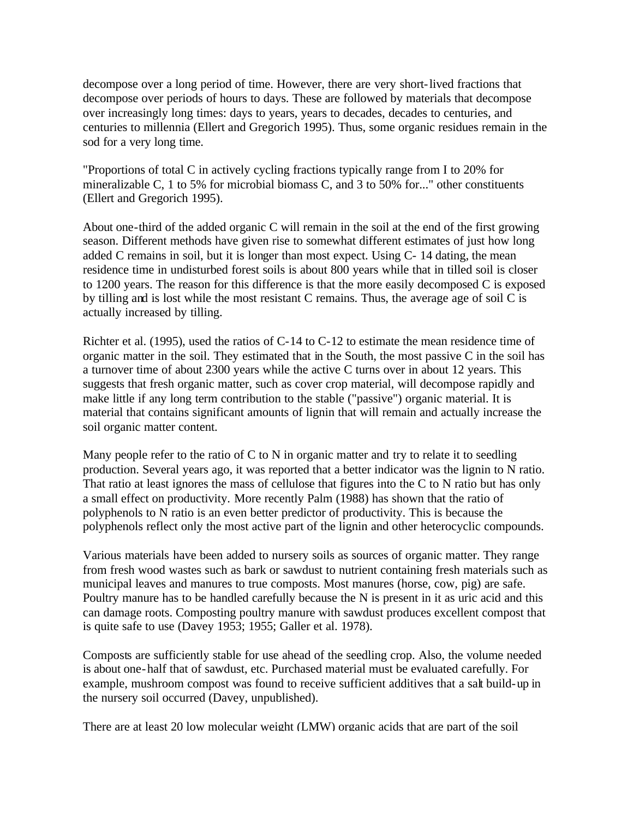decompose over a long period of time. However, there are very short-lived fractions that decompose over periods of hours to days. These are followed by materials that decompose over increasingly long times: days to years, years to decades, decades to centuries, and centuries to millennia (Ellert and Gregorich 1995). Thus, some organic residues remain in the sod for a very long time.

"Proportions of total C in actively cycling fractions typically range from I to 20% for mineralizable C, 1 to 5% for microbial biomass C, and 3 to 50% for..." other constituents (Ellert and Gregorich 1995).

About one-third of the added organic C will remain in the soil at the end of the first growing season. Different methods have given rise to somewhat different estimates of just how long added C remains in soil, but it is longer than most expect. Using C- 14 dating, the mean residence time in undisturbed forest soils is about 800 years while that in tilled soil is closer to 1200 years. The reason for this difference is that the more easily decomposed C is exposed by tilling and is lost while the most resistant C remains. Thus, the average age of soil C is actually increased by tilling.

Richter et al. (1995), used the ratios of C-14 to C-12 to estimate the mean residence time of organic matter in the soil. They estimated that in the South, the most passive C in the soil has a turnover time of about 2300 years while the active C turns over in about 12 years. This suggests that fresh organic matter, such as cover crop material, will decompose rapidly and make little if any long term contribution to the stable ("passive") organic material. It is material that contains significant amounts of lignin that will remain and actually increase the soil organic matter content.

Many people refer to the ratio of  $C$  to  $N$  in organic matter and try to relate it to seedling production. Several years ago, it was reported that a better indicator was the lignin to N ratio. That ratio at least ignores the mass of cellulose that figures into the C to N ratio but has only a small effect on productivity. More recently Palm (1988) has shown that the ratio of polyphenols to N ratio is an even better predictor of productivity. This is because the polyphenols reflect only the most active part of the lignin and other heterocyclic compounds.

Various materials have been added to nursery soils as sources of organic matter. They range from fresh wood wastes such as bark or sawdust to nutrient containing fresh materials such as municipal leaves and manures to true composts. Most manures (horse, cow, pig) are safe. Poultry manure has to be handled carefully because the N is present in it as uric acid and this can damage roots. Composting poultry manure with sawdust produces excellent compost that is quite safe to use (Davey 1953; 1955; Galler et al. 1978).

Composts are sufficiently stable for use ahead of the seedling crop. Also, the volume needed is about one-half that of sawdust, etc. Purchased material must be evaluated carefully. For example, mushroom compost was found to receive sufficient additives that a salt build-up in the nursery soil occurred (Davey, unpublished).

There are at least 20 low molecular weight (LMW) organic acids that are part of the soil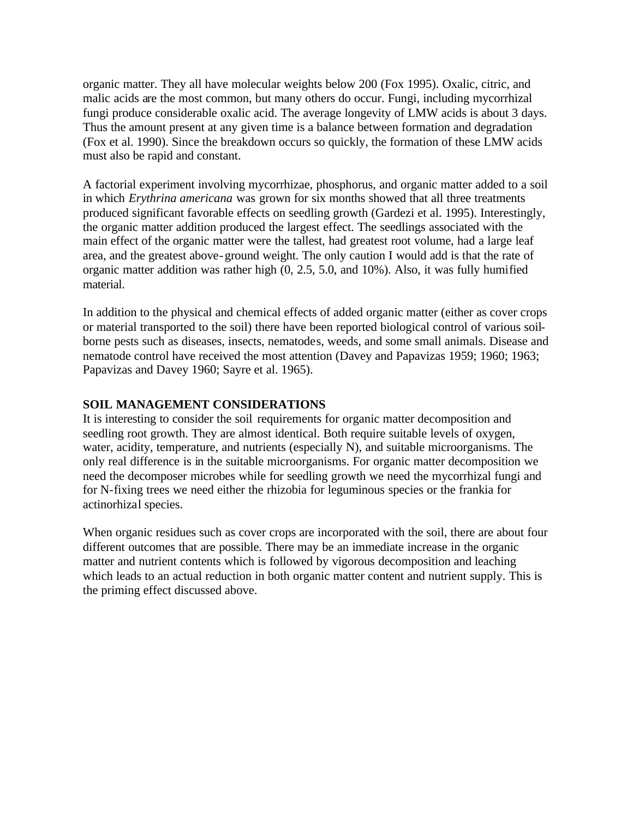organic matter. They all have molecular weights below 200 (Fox 1995). Oxalic, citric, and malic acids are the most common, but many others do occur. Fungi, including mycorrhizal fungi produce considerable oxalic acid. The average longevity of LMW acids is about 3 days. Thus the amount present at any given time is a balance between formation and degradation (Fox et al. 1990). Since the breakdown occurs so quickly, the formation of these LMW acids must also be rapid and constant.

A factorial experiment involving mycorrhizae, phosphorus, and organic matter added to a soil in which *Erythrina americana* was grown for six months showed that all three treatments produced significant favorable effects on seedling growth (Gardezi et al. 1995). Interestingly, the organic matter addition produced the largest effect. The seedlings associated with the main effect of the organic matter were the tallest, had greatest root volume, had a large leaf area, and the greatest above-ground weight. The only caution I would add is that the rate of organic matter addition was rather high (0, 2.5, 5.0, and 10%). Also, it was fully humified material.

In addition to the physical and chemical effects of added organic matter (either as cover crops or material transported to the soil) there have been reported biological control of various soilborne pests such as diseases, insects, nematodes, weeds, and some small animals. Disease and nematode control have received the most attention (Davey and Papavizas 1959; 1960; 1963; Papavizas and Davey 1960; Sayre et al. 1965).

#### **SOIL MANAGEMENT CONSIDERATIONS**

It is interesting to consider the soil requirements for organic matter decomposition and seedling root growth. They are almost identical. Both require suitable levels of oxygen, water, acidity, temperature, and nutrients (especially N), and suitable microorganisms. The only real difference is in the suitable microorganisms. For organic matter decomposition we need the decomposer microbes while for seedling growth we need the mycorrhizal fungi and for N-fixing trees we need either the rhizobia for leguminous species or the frankia for actinorhizal species.

When organic residues such as cover crops are incorporated with the soil, there are about four different outcomes that are possible. There may be an immediate increase in the organic matter and nutrient contents which is followed by vigorous decomposition and leaching which leads to an actual reduction in both organic matter content and nutrient supply. This is the priming effect discussed above.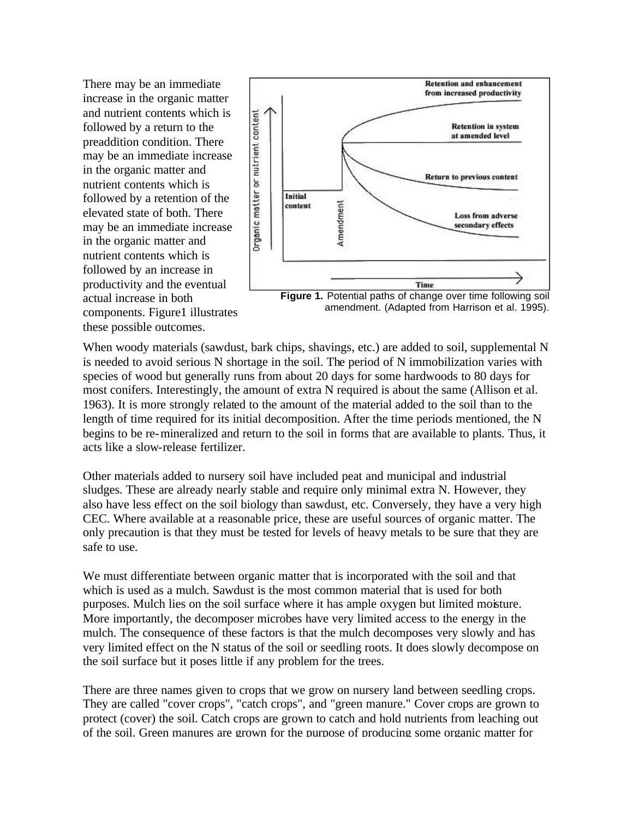There may be an immediate increase in the organic matter and nutrient contents which is followed by a return to the preaddition condition. There may be an immediate increase in the organic matter and nutrient contents which is followed by a retention of the elevated state of both. There may be an immediate increase in the organic matter and nutrient contents which is followed by an increase in productivity and the eventual actual increase in both components. Figure1 illustrates these possible outcomes.



amendment. (Adapted from Harrison et al. 1995).

When woody materials (sawdust, bark chips, shavings, etc.) are added to soil, supplemental N is needed to avoid serious N shortage in the soil. The period of N immobilization varies with species of wood but generally runs from about 20 days for some hardwoods to 80 days for most conifers. Interestingly, the amount of extra N required is about the same (Allison et al. 1963). It is more strongly related to the amount of the material added to the soil than to the length of time required for its initial decomposition. After the time periods mentioned, the N begins to be re-mineralized and return to the soil in forms that are available to plants. Thus, it acts like a slow-release fertilizer.

Other materials added to nursery soil have included peat and municipal and industrial sludges. These are already nearly stable and require only minimal extra N. However, they also have less effect on the soil biology than sawdust, etc. Conversely, they have a very high CEC. Where available at a reasonable price, these are useful sources of organic matter. The only precaution is that they must be tested for levels of heavy metals to be sure that they are safe to use.

We must differentiate between organic matter that is incorporated with the soil and that which is used as a mulch. Sawdust is the most common material that is used for both purposes. Mulch lies on the soil surface where it has ample oxygen but limited moisture. More importantly, the decomposer microbes have very limited access to the energy in the mulch. The consequence of these factors is that the mulch decomposes very slowly and has very limited effect on the N status of the soil or seedling roots. It does slowly decompose on the soil surface but it poses little if any problem for the trees.

There are three names given to crops that we grow on nursery land between seedling crops. They are called "cover crops", "catch crops", and "green manure." Cover crops are grown to protect (cover) the soil. Catch crops are grown to catch and hold nutrients from leaching out of the soil. Green manures are grown for the purpose of producing some organic matter for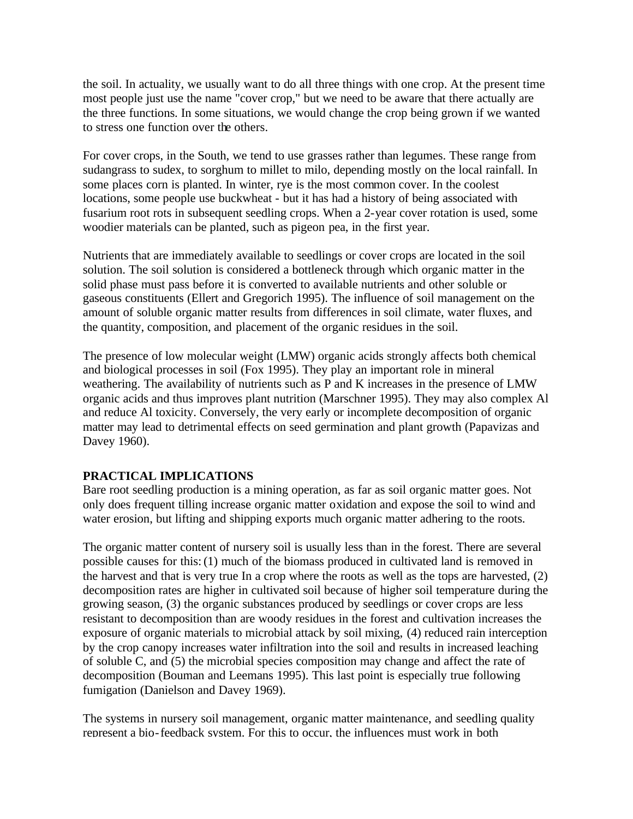the soil. In actuality, we usually want to do all three things with one crop. At the present time most people just use the name "cover crop," but we need to be aware that there actually are the three functions. In some situations, we would change the crop being grown if we wanted to stress one function over the others.

For cover crops, in the South, we tend to use grasses rather than legumes. These range from sudangrass to sudex, to sorghum to millet to milo, depending mostly on the local rainfall. In some places corn is planted. In winter, rye is the most common cover. In the coolest locations, some people use buckwheat - but it has had a history of being associated with fusarium root rots in subsequent seedling crops. When a 2-year cover rotation is used, some woodier materials can be planted, such as pigeon pea, in the first year.

Nutrients that are immediately available to seedlings or cover crops are located in the soil solution. The soil solution is considered a bottleneck through which organic matter in the solid phase must pass before it is converted to available nutrients and other soluble or gaseous constituents (Ellert and Gregorich 1995). The influence of soil management on the amount of soluble organic matter results from differences in soil climate, water fluxes, and the quantity, composition, and placement of the organic residues in the soil.

The presence of low molecular weight (LMW) organic acids strongly affects both chemical and biological processes in soil (Fox 1995). They play an important role in mineral weathering. The availability of nutrients such as P and K increases in the presence of LMW organic acids and thus improves plant nutrition (Marschner 1995). They may also complex Al and reduce Al toxicity. Conversely, the very early or incomplete decomposition of organic matter may lead to detrimental effects on seed germination and plant growth (Papavizas and Davey 1960).

## **PRACTICAL IMPLICATIONS**

Bare root seedling production is a mining operation, as far as soil organic matter goes. Not only does frequent tilling increase organic matter oxidation and expose the soil to wind and water erosion, but lifting and shipping exports much organic matter adhering to the roots.

The organic matter content of nursery soil is usually less than in the forest. There are several possible causes for this: (1) much of the biomass produced in cultivated land is removed in the harvest and that is very true In a crop where the roots as well as the tops are harvested, (2) decomposition rates are higher in cultivated soil because of higher soil temperature during the growing season, (3) the organic substances produced by seedlings or cover crops are less resistant to decomposition than are woody residues in the forest and cultivation increases the exposure of organic materials to microbial attack by soil mixing, (4) reduced rain interception by the crop canopy increases water infiltration into the soil and results in increased leaching of soluble C, and (5) the microbial species composition may change and affect the rate of decomposition (Bouman and Leemans 1995). This last point is especially true following fumigation (Danielson and Davey 1969).

The systems in nursery soil management, organic matter maintenance, and seedling quality represent a bio-feedback system. For this to occur, the influences must work in both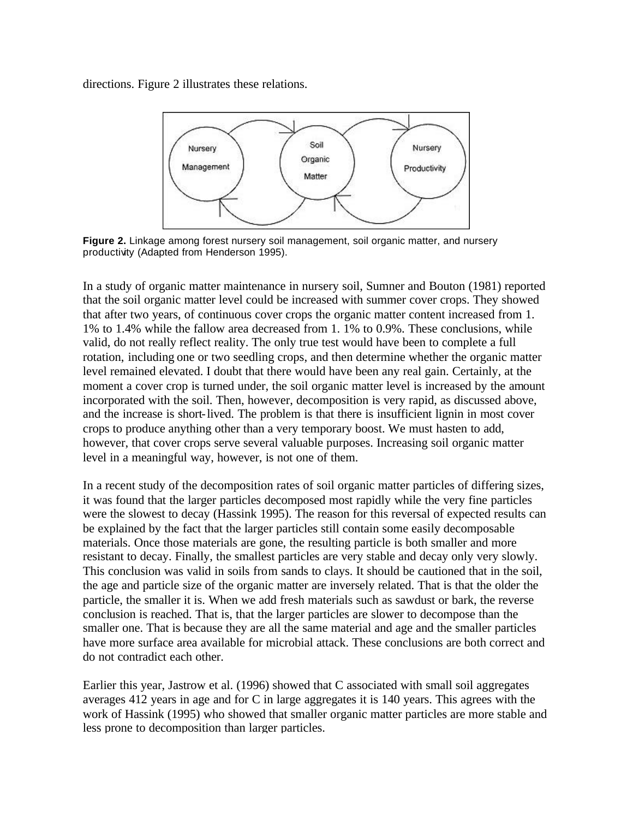directions. Figure 2 illustrates these relations.



**Figure 2.** Linkage among forest nursery soil management, soil organic matter, and nursery productivity (Adapted from Henderson 1995).

In a study of organic matter maintenance in nursery soil, Sumner and Bouton (1981) reported that the soil organic matter level could be increased with summer cover crops. They showed that after two years, of continuous cover crops the organic matter content increased from 1. 1% to 1.4% while the fallow area decreased from 1. 1% to 0.9%. These conclusions, while valid, do not really reflect reality. The only true test would have been to complete a full rotation, including one or two seedling crops, and then determine whether the organic matter level remained elevated. I doubt that there would have been any real gain. Certainly, at the moment a cover crop is turned under, the soil organic matter level is increased by the amount incorporated with the soil. Then, however, decomposition is very rapid, as discussed above, and the increase is short-lived. The problem is that there is insufficient lignin in most cover crops to produce anything other than a very temporary boost. We must hasten to add, however, that cover crops serve several valuable purposes. Increasing soil organic matter level in a meaningful way, however, is not one of them.

In a recent study of the decomposition rates of soil organic matter particles of differing sizes, it was found that the larger particles decomposed most rapidly while the very fine particles were the slowest to decay (Hassink 1995). The reason for this reversal of expected results can be explained by the fact that the larger particles still contain some easily decomposable materials. Once those materials are gone, the resulting particle is both smaller and more resistant to decay. Finally, the smallest particles are very stable and decay only very slowly. This conclusion was valid in soils from sands to clays. It should be cautioned that in the soil, the age and particle size of the organic matter are inversely related. That is that the older the particle, the smaller it is. When we add fresh materials such as sawdust or bark, the reverse conclusion is reached. That is, that the larger particles are slower to decompose than the smaller one. That is because they are all the same material and age and the smaller particles have more surface area available for microbial attack. These conclusions are both correct and do not contradict each other.

Earlier this year, Jastrow et al. (1996) showed that C associated with small soil aggregates averages 412 years in age and for C in large aggregates it is 140 years. This agrees with the work of Hassink (1995) who showed that smaller organic matter particles are more stable and less prone to decomposition than larger particles.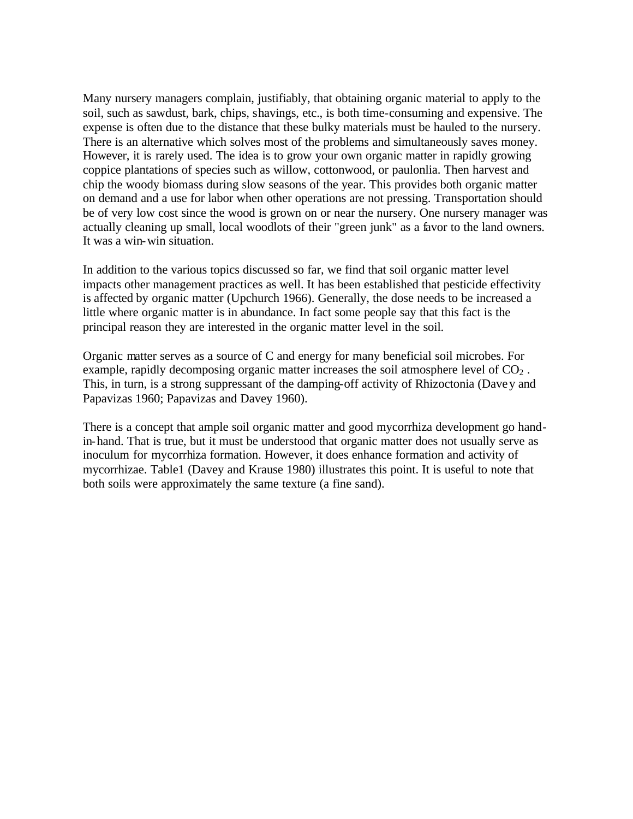Many nursery managers complain, justifiably, that obtaining organic material to apply to the soil, such as sawdust, bark, chips, shavings, etc., is both time-consuming and expensive. The expense is often due to the distance that these bulky materials must be hauled to the nursery. There is an alternative which solves most of the problems and simultaneously saves money. However, it is rarely used. The idea is to grow your own organic matter in rapidly growing coppice plantations of species such as willow, cottonwood, or paulonlia. Then harvest and chip the woody biomass during slow seasons of the year. This provides both organic matter on demand and a use for labor when other operations are not pressing. Transportation should be of very low cost since the wood is grown on or near the nursery. One nursery manager was actually cleaning up small, local woodlots of their "green junk" as a favor to the land owners. It was a win-win situation.

In addition to the various topics discussed so far, we find that soil organic matter level impacts other management practices as well. It has been established that pesticide effectivity is affected by organic matter (Upchurch 1966). Generally, the dose needs to be increased a little where organic matter is in abundance. In fact some people say that this fact is the principal reason they are interested in the organic matter level in the soil.

Organic matter serves as a source of C and energy for many beneficial soil microbes. For example, rapidly decomposing organic matter increases the soil atmosphere level of  $CO<sub>2</sub>$ . This, in turn, is a strong suppressant of the damping-off activity of Rhizoctonia (Davey and Papavizas 1960; Papavizas and Davey 1960).

There is a concept that ample soil organic matter and good mycorrhiza development go handin-hand. That is true, but it must be understood that organic matter does not usually serve as inoculum for mycorrhiza formation. However, it does enhance formation and activity of mycorrhizae. Table1 (Davey and Krause 1980) illustrates this point. It is useful to note that both soils were approximately the same texture (a fine sand).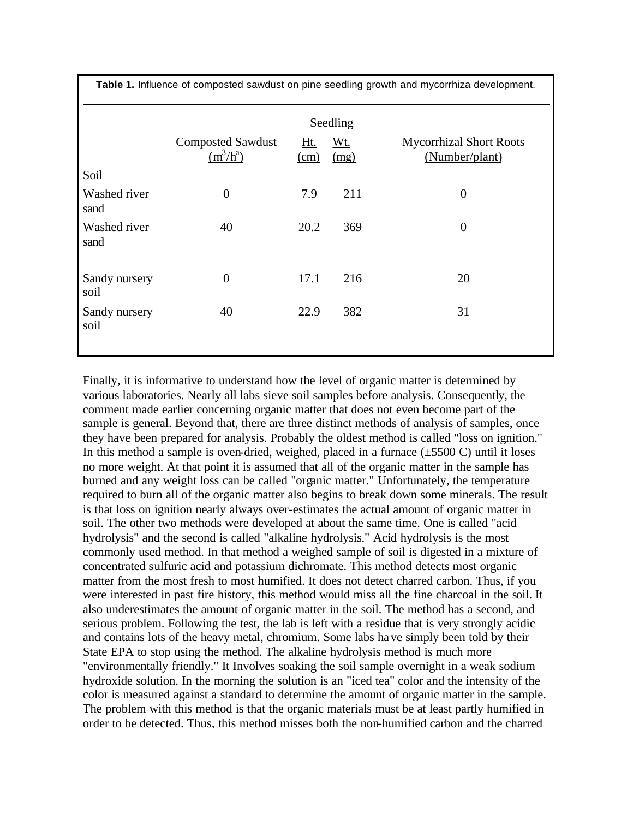| Table 1. Influence of composted sawdust on pine seedling growth and mycorrhiza development. |                                         |                                                 |             |                                                  |
|---------------------------------------------------------------------------------------------|-----------------------------------------|-------------------------------------------------|-------------|--------------------------------------------------|
|                                                                                             | Seedling                                |                                                 |             |                                                  |
|                                                                                             | <b>Composted Sawdust</b><br>$(m^3/h^a)$ | <u>Ht.</u><br>$\frac{\text{(cm)}}{\text{(cm)}}$ | Wt.<br>(mg) | <b>Mycorrhizal Short Roots</b><br>(Number/plant) |
| Soil                                                                                        |                                         |                                                 |             |                                                  |
| Washed river<br>sand                                                                        | $\overline{0}$                          | 7.9                                             | 211         | $\overline{0}$                                   |
| Washed river<br>sand                                                                        | 40                                      | 20.2                                            | 369         | $\boldsymbol{0}$                                 |
| Sandy nursery<br>soil                                                                       | $\overline{0}$                          | 17.1                                            | 216         | 20                                               |
| Sandy nursery<br>soil                                                                       | 40                                      | 22.9                                            | 382         | 31                                               |

Finally, it is informative to understand how the level of organic matter is determined by various laboratories. Nearly all labs sieve soil samples before analysis. Consequently, the comment made earlier concerning organic matter that does not even become part of the sample is general. Beyond that, there are three distinct methods of analysis of samples, once they have been prepared for analysis. Probably the oldest method is called "loss on ignition." In this method a sample is oven-dried, weighed, placed in a furnace  $(\pm 5500 \text{ C})$  until it loses no more weight. At that point it is assumed that all of the organic matter in the sample has burned and any weight loss can be called "organic matter." Unfortunately, the temperature required to burn all of the organic matter also begins to break down some minerals. The result is that loss on ignition nearly always over-estimates the actual amount of organic matter in soil. The other two methods were developed at about the same time. One is called "acid hydrolysis" and the second is called "alkaline hydrolysis." Acid hydrolysis is the most commonly used method. In that method a weighed sample of soil is digested in a mixture of concentrated sulfuric acid and potassium dichromate. This method detects most organic matter from the most fresh to most humified. It does not detect charred carbon. Thus, if you were interested in past fire history, this method would miss all the fine charcoal in the soil. It also underestimates the amount of organic matter in the soil. The method has a second, and serious problem. Following the test, the lab is left with a residue that is very strongly acidic and contains lots of the heavy metal, chromium. Some labs have simply been told by their State EPA to stop using the method. The alkaline hydrolysis method is much more "environmentally friendly." It Involves soaking the soil sample overnight in a weak sodium hydroxide solution. In the morning the solution is an "iced tea" color and the intensity of the color is measured against a standard to determine the amount of organic matter in the sample. The problem with this method is that the organic materials must be at least partly humified in order to be detected. Thus, this method misses both the non-humified carbon and the charred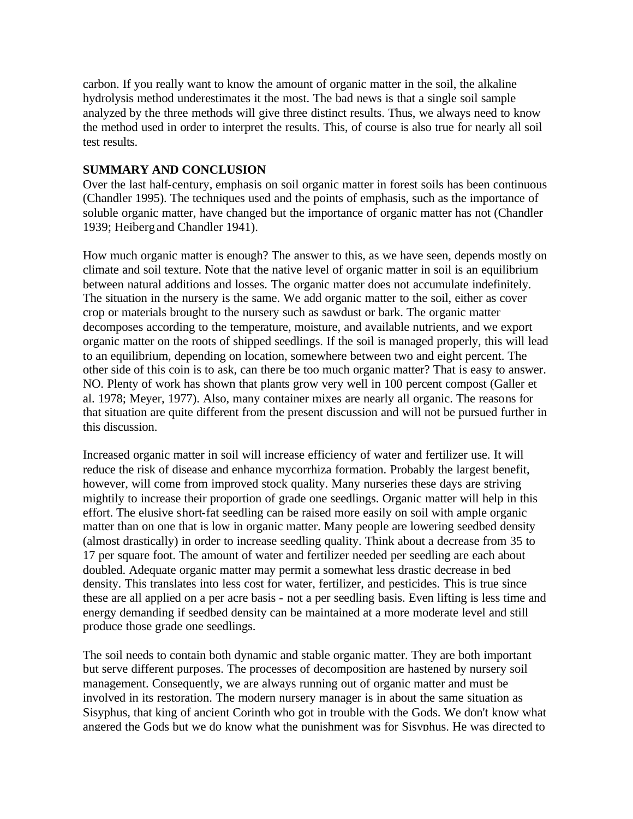carbon. If you really want to know the amount of organic matter in the soil, the alkaline hydrolysis method underestimates it the most. The bad news is that a single soil sample analyzed by the three methods will give three distinct results. Thus, we always need to know the method used in order to interpret the results. This, of course is also true for nearly all soil test results.

#### **SUMMARY AND CONCLUSION**

Over the last half-century, emphasis on soil organic matter in forest soils has been continuous (Chandler 1995). The techniques used and the points of emphasis, such as the importance of soluble organic matter, have changed but the importance of organic matter has not (Chandler 1939; Heiberg and Chandler 1941).

How much organic matter is enough? The answer to this, as we have seen, depends mostly on climate and soil texture. Note that the native level of organic matter in soil is an equilibrium between natural additions and losses. The organic matter does not accumulate indefinitely. The situation in the nursery is the same. We add organic matter to the soil, either as cover crop or materials brought to the nursery such as sawdust or bark. The organic matter decomposes according to the temperature, moisture, and available nutrients, and we export organic matter on the roots of shipped seedlings. If the soil is managed properly, this will lead to an equilibrium, depending on location, somewhere between two and eight percent. The other side of this coin is to ask, can there be too much organic matter? That is easy to answer. NO. Plenty of work has shown that plants grow very well in 100 percent compost (Galler et al. 1978; Meyer, 1977). Also, many container mixes are nearly all organic. The reasons for that situation are quite different from the present discussion and will not be pursued further in this discussion.

Increased organic matter in soil will increase efficiency of water and fertilizer use. It will reduce the risk of disease and enhance mycorrhiza formation. Probably the largest benefit, however, will come from improved stock quality. Many nurseries these days are striving mightily to increase their proportion of grade one seedlings. Organic matter will help in this effort. The elusive short-fat seedling can be raised more easily on soil with ample organic matter than on one that is low in organic matter. Many people are lowering seedbed density (almost drastically) in order to increase seedling quality. Think about a decrease from 35 to 17 per square foot. The amount of water and fertilizer needed per seedling are each about doubled. Adequate organic matter may permit a somewhat less drastic decrease in bed density. This translates into less cost for water, fertilizer, and pesticides. This is true since these are all applied on a per acre basis - not a per seedling basis. Even lifting is less time and energy demanding if seedbed density can be maintained at a more moderate level and still produce those grade one seedlings.

The soil needs to contain both dynamic and stable organic matter. They are both important but serve different purposes. The processes of decomposition are hastened by nursery soil management. Consequently, we are always running out of organic matter and must be involved in its restoration. The modern nursery manager is in about the same situation as Sisyphus, that king of ancient Corinth who got in trouble with the Gods. We don't know what angered the Gods but we do know what the punishment was for Sisyphus. He was directed to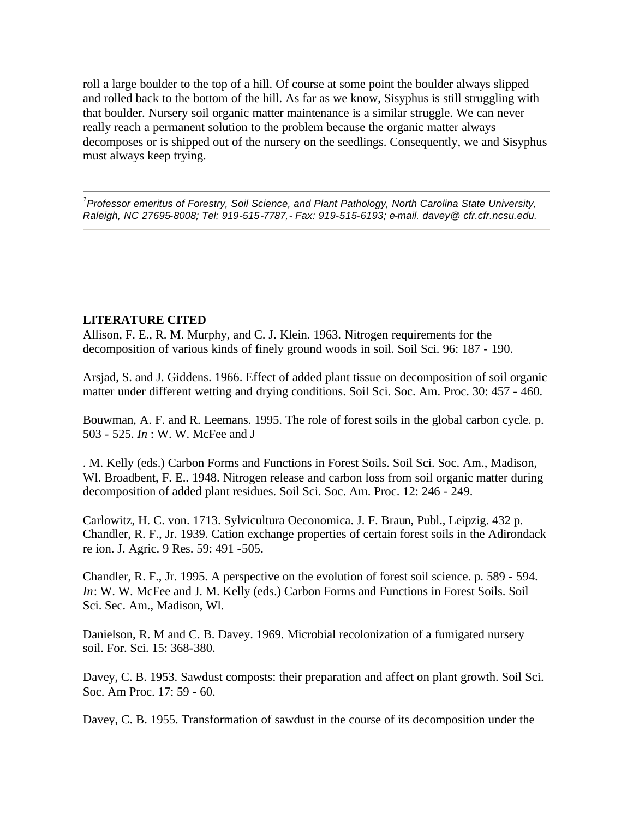roll a large boulder to the top of a hill. Of course at some point the boulder always slipped and rolled back to the bottom of the hill. As far as we know, Sisyphus is still struggling with that boulder. Nursery soil organic matter maintenance is a similar struggle. We can never really reach a permanent solution to the problem because the organic matter always decomposes or is shipped out of the nursery on the seedlings. Consequently, we and Sisyphus must always keep trying.

*1 Professor emeritus of Forestry, Soil Science, and Plant Pathology, North Carolina State University, Raleigh, NC 27695-8008; Tel: 919-515-7787,- Fax: 919-515-6193; e-mail. davey@ cfr.cfr.ncsu.edu.* 

## **LITERATURE CITED**

Allison, F. E., R. M. Murphy, and C. J. Klein. 1963. Nitrogen requirements for the decomposition of various kinds of finely ground woods in soil. Soil Sci. 96: 187 - 190.

Arsjad, S. and J. Giddens. 1966. Effect of added plant tissue on decomposition of soil organic matter under different wetting and drying conditions. Soil Sci. Soc. Am. Proc. 30: 457 - 460.

Bouwman, A. F. and R. Leemans. 1995. The role of forest soils in the global carbon cycle. p. 503 - 525. *In* : W. W. McFee and J

. M. Kelly (eds.) Carbon Forms and Functions in Forest Soils. Soil Sci. Soc. Am., Madison, Wl. Broadbent, F. E., 1948. Nitrogen release and carbon loss from soil organic matter during decomposition of added plant residues. Soil Sci. Soc. Am. Proc. 12: 246 - 249.

Carlowitz, H. C. von. 1713. Sylvicultura Oeconomica. J. F. Braun, Publ., Leipzig. 432 p. Chandler, R. F., Jr. 1939. Cation exchange properties of certain forest soils in the Adirondack re ion. J. Agric. 9 Res. 59: 491 -505.

Chandler, R. F., Jr. 1995. A perspective on the evolution of forest soil science. p. 589 - 594. *In*: W. W. McFee and J. M. Kelly (eds.) Carbon Forms and Functions in Forest Soils. Soil Sci. Sec. Am., Madison, Wl.

Danielson, R. M and C. B. Davey. 1969. Microbial recolonization of a fumigated nursery soil. For. Sci. 15: 368-380.

Davey, C. B. 1953. Sawdust composts: their preparation and affect on plant growth. Soil Sci. Soc. Am Proc. 17: 59 - 60.

Davey, C. B. 1955. Transformation of sawdust in the course of its decomposition under the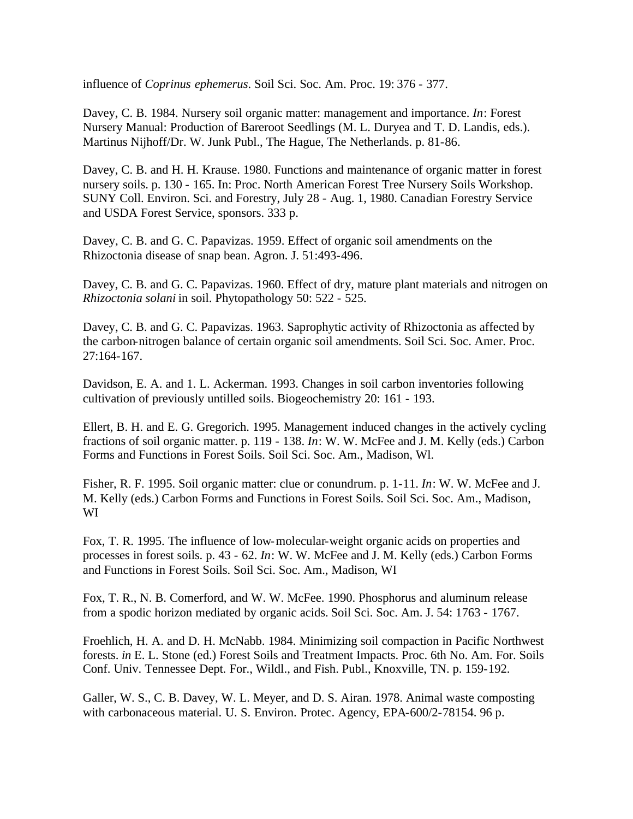influence of *Coprinus ephemerus*. Soil Sci. Soc. Am. Proc. 19: 376 - 377.

Davey, C. B. 1984. Nursery soil organic matter: management and importance. *In*: Forest Nursery Manual: Production of Bareroot Seedlings (M. L. Duryea and T. D. Landis, eds.). Martinus Nijhoff/Dr. W. Junk Publ., The Hague, The Netherlands. p. 81-86.

Davey, C. B. and H. H. Krause. 1980. Functions and maintenance of organic matter in forest nursery soils. p. 130 - 165. In: Proc. North American Forest Tree Nursery Soils Workshop. SUNY Coll. Environ. Sci. and Forestry, July 28 - Aug. 1, 1980. Canadian Forestry Service and USDA Forest Service, sponsors. 333 p.

Davey, C. B. and G. C. Papavizas. 1959. Effect of organic soil amendments on the Rhizoctonia disease of snap bean. Agron. J. 51:493-496.

Davey, C. B. and G. C. Papavizas. 1960. Effect of dry, mature plant materials and nitrogen on *Rhizoctonia solani* in soil. Phytopathology 50: 522 - 525.

Davey, C. B. and G. C. Papavizas. 1963. Saprophytic activity of Rhizoctonia as affected by the carbon-nitrogen balance of certain organic soil amendments. Soil Sci. Soc. Amer. Proc. 27:164-167.

Davidson, E. A. and 1. L. Ackerman. 1993. Changes in soil carbon inventories following cultivation of previously untilled soils. Biogeochemistry 20: 161 - 193.

Ellert, B. H. and E. G. Gregorich. 1995. Management induced changes in the actively cycling fractions of soil organic matter. p. 119 - 138. *In*: W. W. McFee and J. M. Kelly (eds.) Carbon Forms and Functions in Forest Soils. Soil Sci. Soc. Am., Madison, Wl.

Fisher, R. F. 1995. Soil organic matter: clue or conundrum. p. 1-11. *In*: W. W. McFee and J. M. Kelly (eds.) Carbon Forms and Functions in Forest Soils. Soil Sci. Soc. Am., Madison, WI

Fox, T. R. 1995. The influence of low-molecular-weight organic acids on properties and processes in forest soils. p. 43 - 62. *In*: W. W. McFee and J. M. Kelly (eds.) Carbon Forms and Functions in Forest Soils. Soil Sci. Soc. Am., Madison, WI

Fox, T. R., N. B. Comerford, and W. W. McFee. 1990. Phosphorus and aluminum release from a spodic horizon mediated by organic acids. Soil Sci. Soc. Am. J. 54: 1763 - 1767.

Froehlich, H. A. and D. H. McNabb. 1984. Minimizing soil compaction in Pacific Northwest forests. *in* E. L. Stone (ed.) Forest Soils and Treatment Impacts. Proc. 6th No. Am. For. Soils Conf. Univ. Tennessee Dept. For., Wildl., and Fish. Publ., Knoxville, TN. p. 159-192.

Galler, W. S., C. B. Davey, W. L. Meyer, and D. S. Airan. 1978. Animal waste composting with carbonaceous material. U. S. Environ. Protec. Agency, EPA-600/2-78154. 96 p.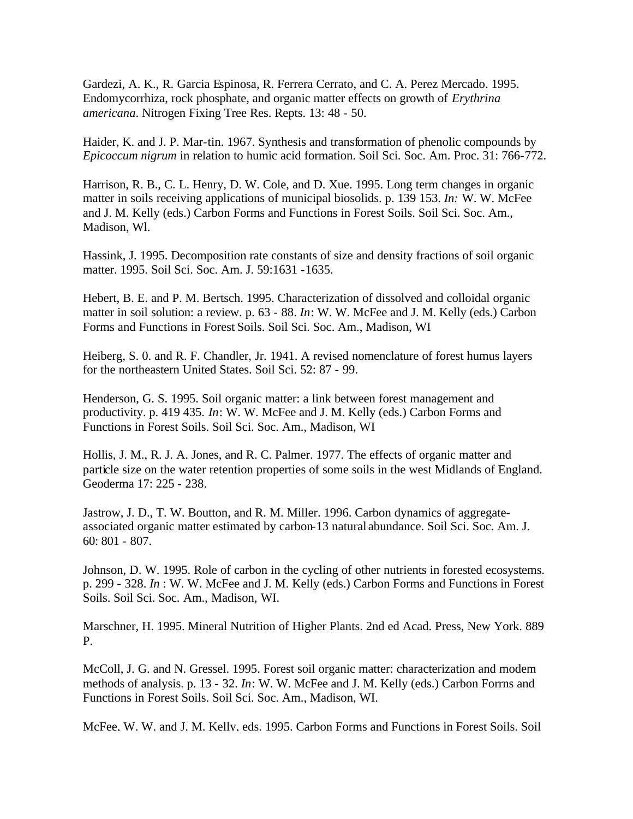Gardezi, A. K., R. Garcia Espinosa, R. Ferrera Cerrato, and C. A. Perez Mercado. 1995. Endomycorrhiza, rock phosphate, and organic matter effects on growth of *Erythrina americana*. Nitrogen Fixing Tree Res. Repts. 13: 48 - 50.

Haider, K. and J. P. Mar-tin. 1967. Synthesis and transformation of phenolic compounds by *Epicoccum nigrum* in relation to humic acid formation. Soil Sci. Soc. Am. Proc. 31: 766-772.

Harrison, R. B., C. L. Henry, D. W. Cole, and D. Xue. 1995. Long term changes in organic matter in soils receiving applications of municipal biosolids. p. 139 153. *In:* W. W. McFee and J. M. Kelly (eds.) Carbon Forms and Functions in Forest Soils. Soil Sci. Soc. Am., Madison, Wl.

Hassink, J. 1995. Decomposition rate constants of size and density fractions of soil organic matter. 1995. Soil Sci. Soc. Am. J. 59:1631 -1635.

Hebert, B. E. and P. M. Bertsch. 1995. Characterization of dissolved and colloidal organic matter in soil solution: a review. p. 63 - 88. *In*: W. W. McFee and J. M. Kelly (eds.) Carbon Forms and Functions in Forest Soils. Soil Sci. Soc. Am., Madison, WI

Heiberg, S. 0. and R. F. Chandler, Jr. 1941. A revised nomenclature of forest humus layers for the northeastern United States. Soil Sci. 52: 87 - 99.

Henderson, G. S. 1995. Soil organic matter: a link between forest management and productivity. p. 419 435. *In*: W. W. McFee and J. M. Kelly (eds.) Carbon Forms and Functions in Forest Soils. Soil Sci. Soc. Am., Madison, WI

Hollis, J. M., R. J. A. Jones, and R. C. Palmer. 1977. The effects of organic matter and particle size on the water retention properties of some soils in the west Midlands of England. Geoderma 17: 225 - 238.

Jastrow, J. D., T. W. Boutton, and R. M. Miller. 1996. Carbon dynamics of aggregateassociated organic matter estimated by carbon-13 natural abundance. Soil Sci. Soc. Am. J. 60: 801 - 807.

Johnson, D. W. 1995. Role of carbon in the cycling of other nutrients in forested ecosystems. p. 299 - 328. *In* : W. W. McFee and J. M. Kelly (eds.) Carbon Forms and Functions in Forest Soils. Soil Sci. Soc. Am., Madison, WI.

Marschner, H. 1995. Mineral Nutrition of Higher Plants. 2nd ed Acad. Press, New York. 889 P.

McColl, J. G. and N. Gressel. 1995. Forest soil organic matter: characterization and modem methods of analysis. p. 13 - 32. *In*: W. W. McFee and J. M. Kelly (eds.) Carbon Forrns and Functions in Forest Soils. Soil Sci. Soc. Am., Madison, WI.

McFee, W. W. and J. M. Kelly, eds. 1995. Carbon Forms and Functions in Forest Soils. Soil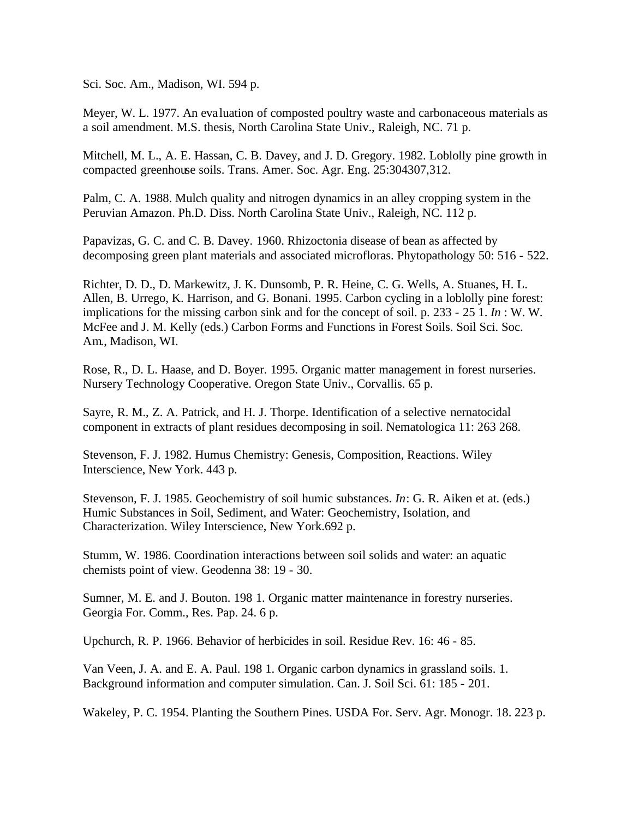Sci. Soc. Am., Madison, WI. 594 p.

Meyer, W. L. 1977. An eva luation of composted poultry waste and carbonaceous materials as a soil amendment. M.S. thesis, North Carolina State Univ., Raleigh, NC. 71 p.

Mitchell, M. L., A. E. Hassan, C. B. Davey, and J. D. Gregory. 1982. Loblolly pine growth in compacted greenhouse soils. Trans. Amer. Soc. Agr. Eng. 25:304307,312.

Palm, C. A. 1988. Mulch quality and nitrogen dynamics in an alley cropping system in the Peruvian Amazon. Ph.D. Diss. North Carolina State Univ., Raleigh, NC. 112 p.

Papavizas, G. C. and C. B. Davey. 1960. Rhizoctonia disease of bean as affected by decomposing green plant materials and associated microfloras. Phytopathology 50: 516 - 522.

Richter, D. D., D. Markewitz, J. K. Dunsomb, P. R. Heine, C. G. Wells, A. Stuanes, H. L. Allen, B. Urrego, K. Harrison, and G. Bonani. 1995. Carbon cycling in a loblolly pine forest: implications for the missing carbon sink and for the concept of soil. p. 233 - 25 1. *In* : W. W. McFee and J. M. Kelly (eds.) Carbon Forms and Functions in Forest Soils. Soil Sci. Soc. Am., Madison, WI.

Rose, R., D. L. Haase, and D. Boyer. 1995. Organic matter management in forest nurseries. Nursery Technology Cooperative. Oregon State Univ., Corvallis. 65 p.

Sayre, R. M., Z. A. Patrick, and H. J. Thorpe. Identification of a selective nernatocidal component in extracts of plant residues decomposing in soil. Nematologica 11: 263 268.

Stevenson, F. J. 1982. Humus Chemistry: Genesis, Composition, Reactions. Wiley Interscience, New York. 443 p.

Stevenson, F. J. 1985. Geochemistry of soil humic substances. *In*: G. R. Aiken et at. (eds.) Humic Substances in Soil, Sediment, and Water: Geochemistry, Isolation, and Characterization. Wiley Interscience, New York.692 p.

Stumm, W. 1986. Coordination interactions between soil solids and water: an aquatic chemists point of view. Geodenna 38: 19 - 30.

Sumner, M. E. and J. Bouton. 198 1. Organic matter maintenance in forestry nurseries. Georgia For. Comm., Res. Pap. 24. 6 p.

Upchurch, R. P. 1966. Behavior of herbicides in soil. Residue Rev. 16: 46 - 85.

Van Veen, J. A. and E. A. Paul. 198 1. Organic carbon dynamics in grassland soils. 1. Background information and computer simulation. Can. J. Soil Sci. 61: 185 - 201.

Wakeley, P. C. 1954. Planting the Southern Pines. USDA For. Serv. Agr. Monogr. 18. 223 p.